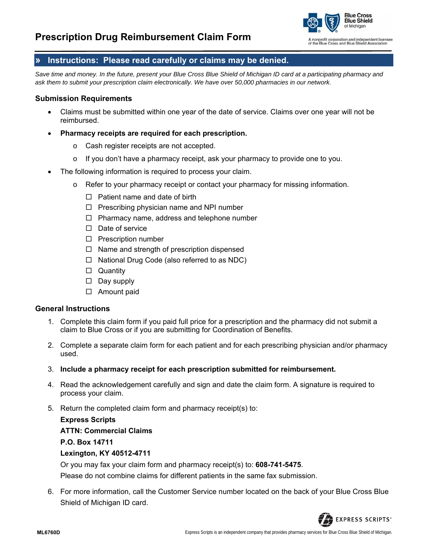

nonprofit corporation and independent licensee<br>the Blue Cross and Blue Shield Association

## **» Instructions: Please read carefully or claims may be denied.**

Save time and money. In the future, present your Blue Cross Blue Shield of Michigan ID card at a participating pharmacy and *ask them to submit your prescription claim electronically. We have over 50,000 pharmacies in our network.* 

#### **Submission Requirements**

- Claims must be submitted within one year of the date of service. Claims over one year will not be reimbursed.
- **Pharmacy receipts are required for each prescription.**
	- o Cash register receipts are not accepted.
	- $\circ$  If you don't have a pharmacy receipt, ask your pharmacy to provide one to you.
- The following information is required to process your claim.
	- o Refer to your pharmacy receipt or contact your pharmacy for missing information.
		- $\Box$  Patient name and date of birth
		- $\Box$  Prescribing physician name and NPI number
		- $\Box$  Pharmacy name, address and telephone number
		- $\Box$  Date of service
		- $\square$  Prescription number
		- $\Box$  Name and strength of prescription dispensed
		- $\Box$  National Drug Code (also referred to as NDC)
		- □ Quantity
		- $\square$  Day supply
		- □ Amount paid

#### **General Instructions**

- 1. Complete this claim form if you paid full price for a prescription and the pharmacy did not submit a claim to Blue Cross or if you are submitting for Coordination of Benefits.
- 2. Complete a separate claim form for each patient and for each prescribing physician and/or pharmacy used.
- 3. **Include a pharmacy receipt for each prescription submitted for reimbursement.**
- 4. Read the acknowledgement carefully and sign and date the claim form. A signature is required to process your claim.
- 5. Return the completed claim form and pharmacy receipt(s) to:

#### **Express Scripts**

#### **ATTN: Commercial Claims**

**P.O. Box 14711**

### **Lexington, KY 40512-4711**

Or you may fax your claim form and pharmacy receipt(s) to: **608-741-5475**.

Please do not combine claims for different patients in the same fax submission.

6. For more information, call the Customer Service number located on the back of your Blue Cross Blue Shield of Michigan ID card.

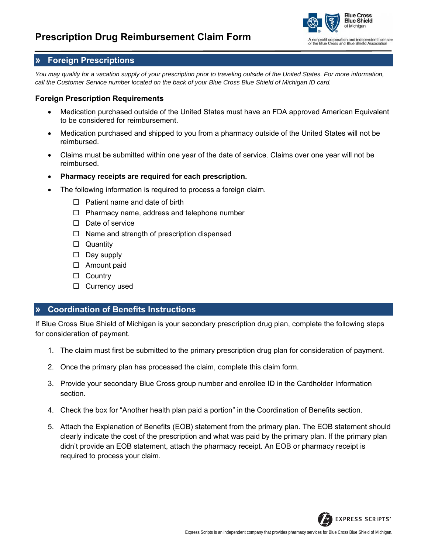# **Prescription Drug Reimbursement Claim Form**



## **» Foreign Prescriptions**

*You may qualify for a vacation supply of your prescription prior to traveling outside of the United States. For more information, call the Customer Service number located on the back of your Blue Cross Blue Shield of Michigan ID card.*

#### **Foreign Prescription Requirements**

- Medication purchased outside of the United States must have an FDA approved American Equivalent to be considered for reimbursement.
- Medication purchased and shipped to you from a pharmacy outside of the United States will not be reimbursed.
- Claims must be submitted within one year of the date of service. Claims over one year will not be reimbursed.
- **Pharmacy receipts are required for each prescription.**
- The following information is required to process a foreign claim.
	- $\Box$  Patient name and date of birth
	- $\Box$  Pharmacy name, address and telephone number
	- $\Box$  Date of service
	- $\Box$  Name and strength of prescription dispensed
	- □ Quantity
	- $\square$  Day supply
	- □ Amount paid
	- □ Country
	- $\Box$  Currency used

## **» Coordination of Benefits Instructions**

If Blue Cross Blue Shield of Michigan is your secondary prescription drug plan, complete the following steps for consideration of payment.

- 1. The claim must first be submitted to the primary prescription drug plan for consideration of payment.
- 2. Once the primary plan has processed the claim, complete this claim form.
- 3. Provide your secondary Blue Cross group number and enrollee ID in the Cardholder Information section.
- 4. Check the box for "Another health plan paid a portion" in the Coordination of Benefits section.
- 5. Attach the Explanation of Benefits (EOB) statement from the primary plan. The EOB statement should clearly indicate the cost of the prescription and what was paid by the primary plan. If the primary plan didn't provide an EOB statement, attach the pharmacy receipt. An EOB or pharmacy receipt is required to process your claim.

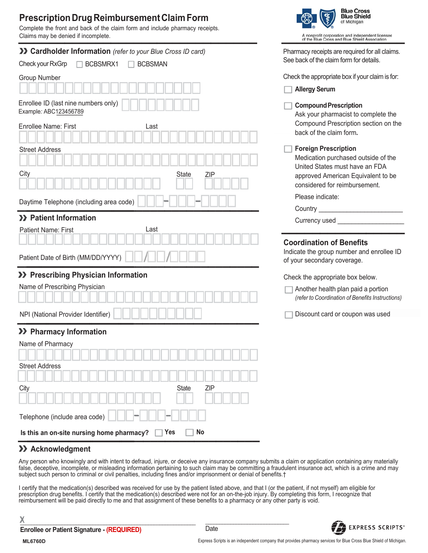# **Prescription Drug Reimbursement Claim Form**

Complete the front and back of the claim form and include pharmacy receipts. Claims may be denied if incomplete.

| >> Cardholder Information (refer to your Blue Cross ID card)  | Pharmacy receipts are required for all claims.                                                              |  |  |  |  |  |  |  |
|---------------------------------------------------------------|-------------------------------------------------------------------------------------------------------------|--|--|--|--|--|--|--|
| Check your RxGrp<br>BCBSMRX1<br><b>BCBSMAN</b>                | See back of the claim form for details.                                                                     |  |  |  |  |  |  |  |
| <b>Group Number</b>                                           | Check the appropriate box if your claim is for:                                                             |  |  |  |  |  |  |  |
|                                                               | <b>Allergy Serum</b>                                                                                        |  |  |  |  |  |  |  |
| Enrollee ID (last nine numbers only)<br>Example: ABC123456789 | <b>Compound Prescription</b><br>Ask your pharmacist to complete the<br>Compound Prescription section on the |  |  |  |  |  |  |  |
| <b>Enrollee Name: First</b><br>Last                           | back of the claim form.                                                                                     |  |  |  |  |  |  |  |
| <b>Street Address</b>                                         | <b>Foreign Prescription</b><br>Medication purchased outside of the                                          |  |  |  |  |  |  |  |
|                                                               | United States must have an FDA                                                                              |  |  |  |  |  |  |  |
| City<br>State<br><b>ZIP</b>                                   | approved American Equivalent to be<br>considered for reimbursement.                                         |  |  |  |  |  |  |  |
| Daytime Telephone (including area code)                       | Please indicate:                                                                                            |  |  |  |  |  |  |  |
|                                                               | Country __                                                                                                  |  |  |  |  |  |  |  |
| >> Patient Information                                        | Currency used                                                                                               |  |  |  |  |  |  |  |
| <b>Patient Name: First</b><br>Last                            |                                                                                                             |  |  |  |  |  |  |  |
| Patient Date of Birth (MM/DD/YYYY)                            | <b>Coordination of Benefits</b><br>Indicate the group number and enrollee ID<br>of your secondary coverage. |  |  |  |  |  |  |  |
| >> Prescribing Physician Information                          | Check the appropriate box below.                                                                            |  |  |  |  |  |  |  |
| Name of Prescribing Physician                                 | Another health plan paid a portion<br>(refer to Coordination of Benefits Instructions)                      |  |  |  |  |  |  |  |
| NPI (National Provider Identifier)                            | Discount card or coupon was used                                                                            |  |  |  |  |  |  |  |
| >> Pharmacy Information                                       |                                                                                                             |  |  |  |  |  |  |  |
| Name of Pharmacy                                              |                                                                                                             |  |  |  |  |  |  |  |
|                                                               |                                                                                                             |  |  |  |  |  |  |  |
| <b>Street Address</b>                                         |                                                                                                             |  |  |  |  |  |  |  |
| City<br>ZIP<br><b>State</b>                                   |                                                                                                             |  |  |  |  |  |  |  |
| Telephone (include area code)                                 |                                                                                                             |  |  |  |  |  |  |  |
| Is this an on-site nursing home pharmacy?<br>Yes<br><b>No</b> |                                                                                                             |  |  |  |  |  |  |  |

### >> Acknowledgment

Any person who knowingly and with intent to defraud, injure, or deceive any insurance company submits a claim or application containing any materially false, deceptive, incomplete, or misleading information pertaining to such claim may be committing a fraudulent insurance act, which is a crime and may subject such person to criminal or civil penalties, including fines and/or imprisonment or denial of benefits †

I certify that the medication(s) described was received for use by the patient listed above, and that I (or the patient, if not myself) am eligible for prescription drug benefits. I certify that the medication(s) described were not for an on-the-job injury. By completing this form, I recognize that reimbursement will be paid directly to me and that assignment of these ben

χ

Date



**Blue Cross<br>Blue Shield** 

of Michigan

A nonprofit corporation and independent licensee<br>of the Blue Cross and Blue Shield Association